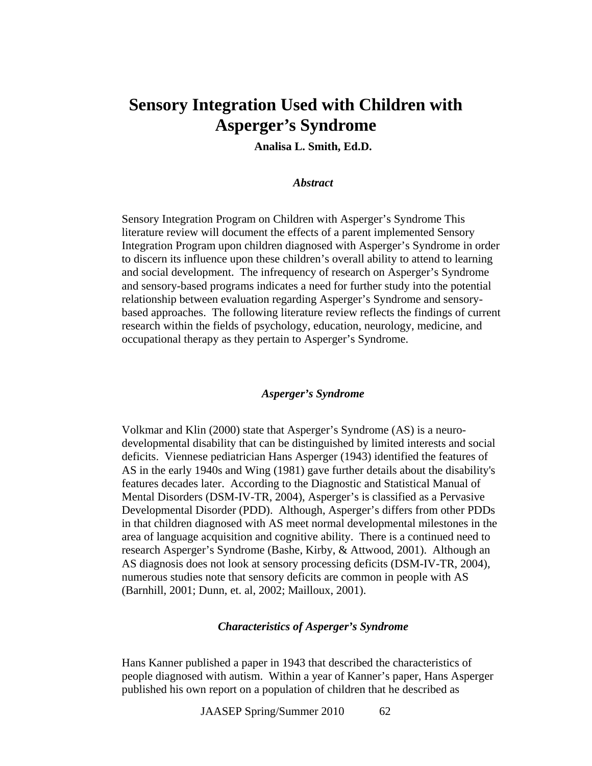# **Sensory Integration Used with Children with Asperger's Syndrome**

**Analisa L. Smith, Ed.D.** 

# *Abstract*

Sensory Integration Program on Children with Asperger's Syndrome This literature review will document the effects of a parent implemented Sensory Integration Program upon children diagnosed with Asperger's Syndrome in order to discern its influence upon these children's overall ability to attend to learning and social development. The infrequency of research on Asperger's Syndrome and sensory-based programs indicates a need for further study into the potential relationship between evaluation regarding Asperger's Syndrome and sensorybased approaches. The following literature review reflects the findings of current research within the fields of psychology, education, neurology, medicine, and occupational therapy as they pertain to Asperger's Syndrome.

# *Asperger's Syndrome*

Volkmar and Klin (2000) state that Asperger's Syndrome (AS) is a neurodevelopmental disability that can be distinguished by limited interests and social deficits. Viennese pediatrician Hans Asperger (1943) identified the features of AS in the early 1940s and Wing (1981) gave further details about the disability's features decades later. According to the Diagnostic and Statistical Manual of Mental Disorders (DSM-IV-TR, 2004), Asperger's is classified as a Pervasive Developmental Disorder (PDD). Although, Asperger's differs from other PDDs in that children diagnosed with AS meet normal developmental milestones in the area of language acquisition and cognitive ability. There is a continued need to research Asperger's Syndrome (Bashe, Kirby, & Attwood, 2001). Although an AS diagnosis does not look at sensory processing deficits (DSM-IV-TR, 2004), numerous studies note that sensory deficits are common in people with AS (Barnhill, 2001; Dunn, et. al, 2002; Mailloux, 2001).

### *Characteristics of Asperger's Syndrome*

Hans Kanner published a paper in 1943 that described the characteristics of people diagnosed with autism. Within a year of Kanner's paper, Hans Asperger published his own report on a population of children that he described as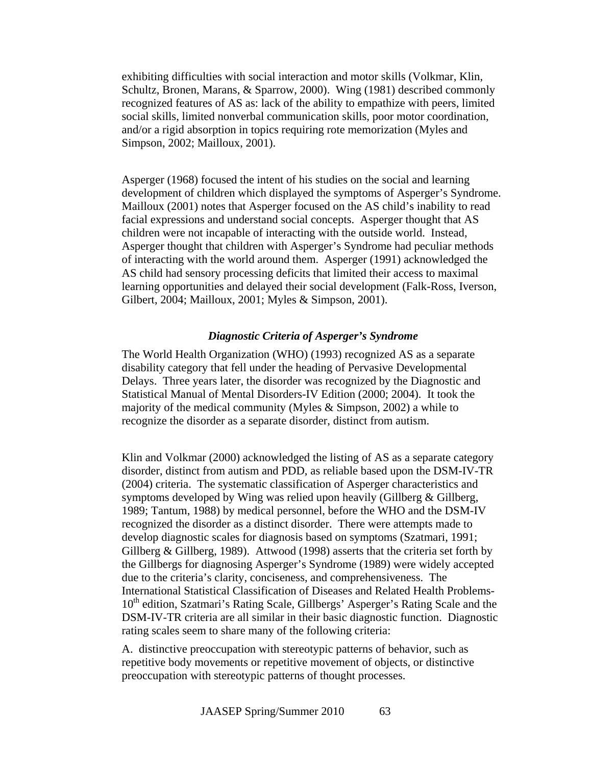exhibiting difficulties with social interaction and motor skills (Volkmar, Klin, Schultz, Bronen, Marans, & Sparrow, 2000). Wing (1981) described commonly recognized features of AS as: lack of the ability to empathize with peers, limited social skills, limited nonverbal communication skills, poor motor coordination, and/or a rigid absorption in topics requiring rote memorization (Myles and Simpson, 2002; Mailloux, 2001).

Asperger (1968) focused the intent of his studies on the social and learning development of children which displayed the symptoms of Asperger's Syndrome. Mailloux (2001) notes that Asperger focused on the AS child's inability to read facial expressions and understand social concepts. Asperger thought that AS children were not incapable of interacting with the outside world. Instead, Asperger thought that children with Asperger's Syndrome had peculiar methods of interacting with the world around them. Asperger (1991) acknowledged the AS child had sensory processing deficits that limited their access to maximal learning opportunities and delayed their social development (Falk-Ross, Iverson, Gilbert, 2004; Mailloux, 2001; Myles & Simpson, 2001).

# *Diagnostic Criteria of Asperger's Syndrome*

The World Health Organization (WHO) (1993) recognized AS as a separate disability category that fell under the heading of Pervasive Developmental Delays. Three years later, the disorder was recognized by the Diagnostic and Statistical Manual of Mental Disorders-IV Edition (2000; 2004). It took the majority of the medical community (Myles & Simpson, 2002) a while to recognize the disorder as a separate disorder, distinct from autism.

Klin and Volkmar (2000) acknowledged the listing of AS as a separate category disorder, distinct from autism and PDD, as reliable based upon the DSM-IV-TR (2004) criteria. The systematic classification of Asperger characteristics and symptoms developed by Wing was relied upon heavily (Gillberg  $\&$  Gillberg, 1989; Tantum, 1988) by medical personnel, before the WHO and the DSM-IV recognized the disorder as a distinct disorder. There were attempts made to develop diagnostic scales for diagnosis based on symptoms (Szatmari, 1991; Gillberg & Gillberg, 1989). Attwood (1998) asserts that the criteria set forth by the Gillbergs for diagnosing Asperger's Syndrome (1989) were widely accepted due to the criteria's clarity, conciseness, and comprehensiveness. The International Statistical Classification of Diseases and Related Health Problems- $10<sup>th</sup>$  edition, Szatmari's Rating Scale, Gillbergs' Asperger's Rating Scale and the DSM-IV-TR criteria are all similar in their basic diagnostic function. Diagnostic rating scales seem to share many of the following criteria:

A. distinctive preoccupation with stereotypic patterns of behavior, such as repetitive body movements or repetitive movement of objects, or distinctive preoccupation with stereotypic patterns of thought processes.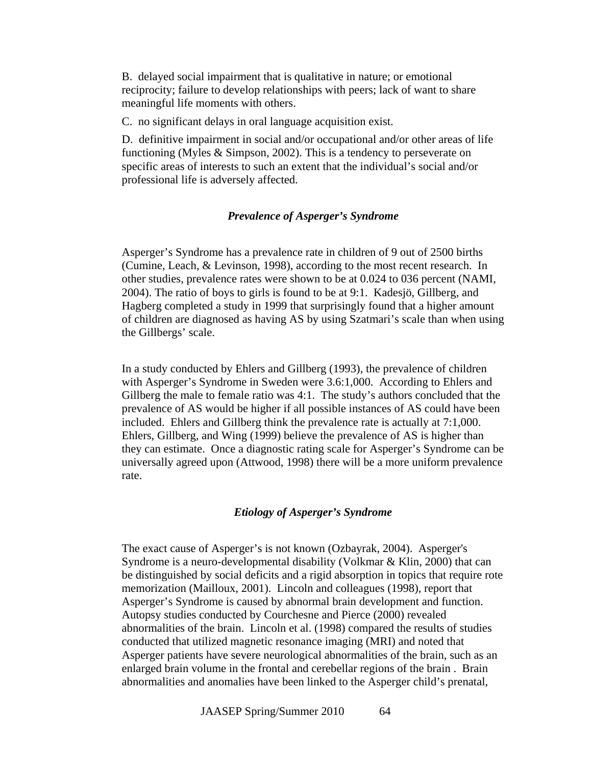B. delayed social impairment that is qualitative in nature; or emotional reciprocity; failure to develop relationships with peers; lack of want to share meaningful life moments with others.

C. no significant delays in oral language acquisition exist.

D. definitive impairment in social and/or occupational and/or other areas of life functioning (Myles & Simpson, 2002). This is a tendency to perseverate on specific areas of interests to such an extent that the individual's social and/or professional life is adversely affected.

# *Prevalence of Asperger's Syndrome*

Asperger's Syndrome has a prevalence rate in children of 9 out of 2500 births (Cumine, Leach, & Levinson, 1998), according to the most recent research. In other studies, prevalence rates were shown to be at 0.024 to 036 percent (NAMI, 2004). The ratio of boys to girls is found to be at 9:1. Kadesjö, Gillberg, and Hagberg completed a study in 1999 that surprisingly found that a higher amount of children are diagnosed as having AS by using Szatmari's scale than when using the Gillbergs' scale.

In a study conducted by Ehlers and Gillberg (1993), the prevalence of children with Asperger's Syndrome in Sweden were 3.6:1,000. According to Ehlers and Gillberg the male to female ratio was 4:1. The study's authors concluded that the prevalence of AS would be higher if all possible instances of AS could have been included. Ehlers and Gillberg think the prevalence rate is actually at 7:1,000. Ehlers, Gillberg, and Wing (1999) believe the prevalence of AS is higher than they can estimate. Once a diagnostic rating scale for Asperger's Syndrome can be universally agreed upon (Attwood, 1998) there will be a more uniform prevalence rate.

#### *Etiology of Asperger's Syndrome*

The exact cause of Asperger's is not known (Ozbayrak, 2004). Asperger's Syndrome is a neuro-developmental disability (Volkmar & Klin, 2000) that can be distinguished by social deficits and a rigid absorption in topics that require rote memorization (Mailloux, 2001). Lincoln and colleagues (1998), report that Asperger's Syndrome is caused by abnormal brain development and function. Autopsy studies conducted by Courchesne and Pierce (2000) revealed abnormalities of the brain. Lincoln et al. (1998) compared the results of studies conducted that utilized magnetic resonance imaging (MRI) and noted that Asperger patients have severe neurological abnormalities of the brain, such as an enlarged brain volume in the frontal and cerebellar regions of the brain . Brain abnormalities and anomalies have been linked to the Asperger child's prenatal,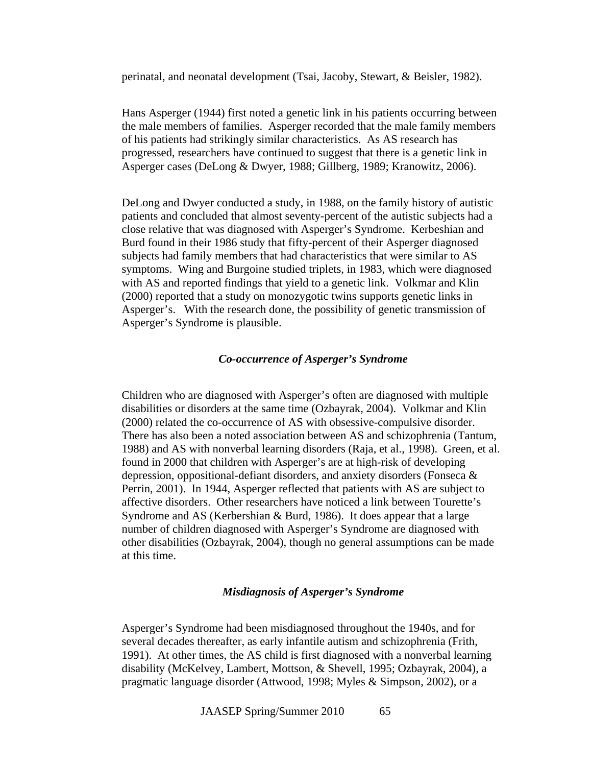perinatal, and neonatal development (Tsai, Jacoby, Stewart, & Beisler, 1982).

Hans Asperger (1944) first noted a genetic link in his patients occurring between the male members of families. Asperger recorded that the male family members of his patients had strikingly similar characteristics. As AS research has progressed, researchers have continued to suggest that there is a genetic link in Asperger cases (DeLong & Dwyer, 1988; Gillberg, 1989; Kranowitz, 2006).

DeLong and Dwyer conducted a study, in 1988, on the family history of autistic patients and concluded that almost seventy-percent of the autistic subjects had a close relative that was diagnosed with Asperger's Syndrome. Kerbeshian and Burd found in their 1986 study that fifty-percent of their Asperger diagnosed subjects had family members that had characteristics that were similar to AS symptoms. Wing and Burgoine studied triplets, in 1983, which were diagnosed with AS and reported findings that yield to a genetic link. Volkmar and Klin (2000) reported that a study on monozygotic twins supports genetic links in Asperger's. With the research done, the possibility of genetic transmission of Asperger's Syndrome is plausible.

# *Co-occurrence of Asperger's Syndrome*

Children who are diagnosed with Asperger's often are diagnosed with multiple disabilities or disorders at the same time (Ozbayrak, 2004). Volkmar and Klin (2000) related the co-occurrence of AS with obsessive-compulsive disorder. There has also been a noted association between AS and schizophrenia (Tantum, 1988) and AS with nonverbal learning disorders (Raja, et al., 1998). Green, et al. found in 2000 that children with Asperger's are at high-risk of developing depression, oppositional-defiant disorders, and anxiety disorders (Fonseca & Perrin, 2001). In 1944, Asperger reflected that patients with AS are subject to affective disorders. Other researchers have noticed a link between Tourette's Syndrome and AS (Kerbershian & Burd, 1986). It does appear that a large number of children diagnosed with Asperger's Syndrome are diagnosed with other disabilities (Ozbayrak, 2004), though no general assumptions can be made at this time.

# *Misdiagnosis of Asperger's Syndrome*

Asperger's Syndrome had been misdiagnosed throughout the 1940s, and for several decades thereafter, as early infantile autism and schizophrenia (Frith, 1991). At other times, the AS child is first diagnosed with a nonverbal learning disability (McKelvey, Lambert, Mottson, & Shevell, 1995; Ozbayrak, 2004), a pragmatic language disorder (Attwood, 1998; Myles & Simpson, 2002), or a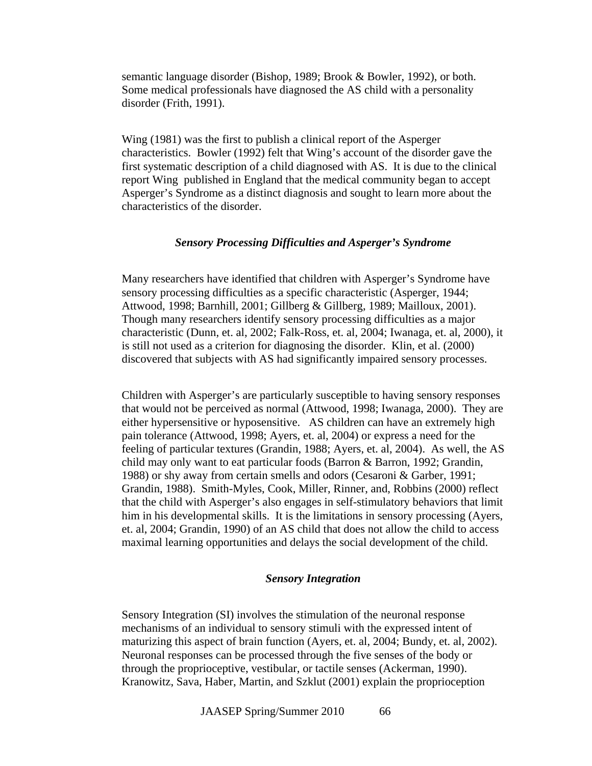semantic language disorder (Bishop, 1989; Brook & Bowler, 1992), or both. Some medical professionals have diagnosed the AS child with a personality disorder (Frith, 1991).

Wing (1981) was the first to publish a clinical report of the Asperger characteristics. Bowler (1992) felt that Wing's account of the disorder gave the first systematic description of a child diagnosed with AS. It is due to the clinical report Wing published in England that the medical community began to accept Asperger's Syndrome as a distinct diagnosis and sought to learn more about the characteristics of the disorder.

# *Sensory Processing Difficulties and Asperger's Syndrome*

Many researchers have identified that children with Asperger's Syndrome have sensory processing difficulties as a specific characteristic (Asperger, 1944; Attwood, 1998; Barnhill, 2001; Gillberg & Gillberg, 1989; Mailloux, 2001). Though many researchers identify sensory processing difficulties as a major characteristic (Dunn, et. al, 2002; Falk-Ross, et. al, 2004; Iwanaga, et. al, 2000), it is still not used as a criterion for diagnosing the disorder. Klin, et al. (2000) discovered that subjects with AS had significantly impaired sensory processes.

Children with Asperger's are particularly susceptible to having sensory responses that would not be perceived as normal (Attwood, 1998; Iwanaga, 2000). They are either hypersensitive or hyposensitive. AS children can have an extremely high pain tolerance (Attwood, 1998; Ayers, et. al, 2004) or express a need for the feeling of particular textures (Grandin, 1988; Ayers, et. al, 2004). As well, the AS child may only want to eat particular foods (Barron & Barron, 1992; Grandin, 1988) or shy away from certain smells and odors (Cesaroni & Garber, 1991; Grandin, 1988). Smith-Myles, Cook, Miller, Rinner, and, Robbins (2000) reflect that the child with Asperger's also engages in self-stimulatory behaviors that limit him in his developmental skills. It is the limitations in sensory processing (Ayers, et. al, 2004; Grandin, 1990) of an AS child that does not allow the child to access maximal learning opportunities and delays the social development of the child.

#### *Sensory Integration*

Sensory Integration (SI) involves the stimulation of the neuronal response mechanisms of an individual to sensory stimuli with the expressed intent of maturizing this aspect of brain function (Ayers, et. al, 2004; Bundy, et. al, 2002). Neuronal responses can be processed through the five senses of the body or through the proprioceptive, vestibular, or tactile senses (Ackerman, 1990). Kranowitz, Sava, Haber, Martin, and Szklut (2001) explain the proprioception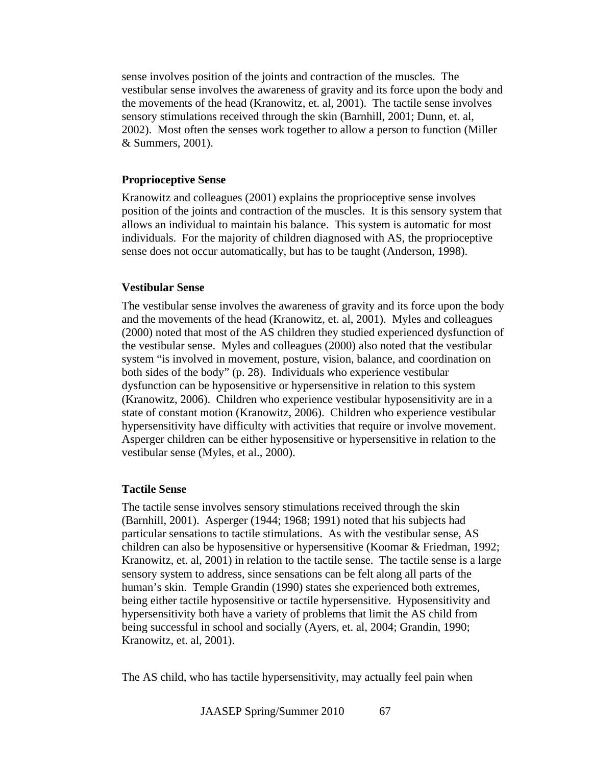sense involves position of the joints and contraction of the muscles. The vestibular sense involves the awareness of gravity and its force upon the body and the movements of the head (Kranowitz, et. al, 2001). The tactile sense involves sensory stimulations received through the skin (Barnhill, 2001; Dunn, et. al, 2002). Most often the senses work together to allow a person to function (Miller & Summers, 2001).

# **Proprioceptive Sense**

Kranowitz and colleagues (2001) explains the proprioceptive sense involves position of the joints and contraction of the muscles. It is this sensory system that allows an individual to maintain his balance. This system is automatic for most individuals. For the majority of children diagnosed with AS, the proprioceptive sense does not occur automatically, but has to be taught (Anderson, 1998).

# **Vestibular Sense**

The vestibular sense involves the awareness of gravity and its force upon the body and the movements of the head (Kranowitz, et. al, 2001). Myles and colleagues (2000) noted that most of the AS children they studied experienced dysfunction of the vestibular sense. Myles and colleagues (2000) also noted that the vestibular system "is involved in movement, posture, vision, balance, and coordination on both sides of the body" (p. 28). Individuals who experience vestibular dysfunction can be hyposensitive or hypersensitive in relation to this system (Kranowitz, 2006). Children who experience vestibular hyposensitivity are in a state of constant motion (Kranowitz, 2006). Children who experience vestibular hypersensitivity have difficulty with activities that require or involve movement. Asperger children can be either hyposensitive or hypersensitive in relation to the vestibular sense (Myles, et al., 2000).

# **Tactile Sense**

The tactile sense involves sensory stimulations received through the skin (Barnhill, 2001). Asperger (1944; 1968; 1991) noted that his subjects had particular sensations to tactile stimulations. As with the vestibular sense, AS children can also be hyposensitive or hypersensitive (Koomar & Friedman, 1992; Kranowitz, et. al, 2001) in relation to the tactile sense. The tactile sense is a large sensory system to address, since sensations can be felt along all parts of the human's skin. Temple Grandin (1990) states she experienced both extremes, being either tactile hyposensitive or tactile hypersensitive. Hyposensitivity and hypersensitivity both have a variety of problems that limit the AS child from being successful in school and socially (Ayers, et. al, 2004; Grandin, 1990; Kranowitz, et. al, 2001).

The AS child, who has tactile hypersensitivity, may actually feel pain when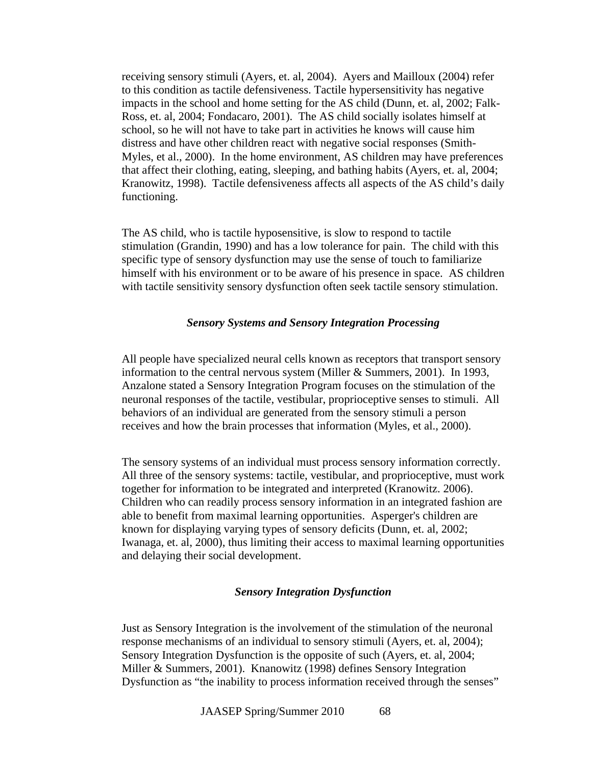receiving sensory stimuli (Ayers, et. al, 2004). Ayers and Mailloux (2004) refer to this condition as tactile defensiveness. Tactile hypersensitivity has negative impacts in the school and home setting for the AS child (Dunn, et. al, 2002; Falk-Ross, et. al, 2004; Fondacaro, 2001). The AS child socially isolates himself at school, so he will not have to take part in activities he knows will cause him distress and have other children react with negative social responses (Smith-Myles, et al., 2000). In the home environment, AS children may have preferences that affect their clothing, eating, sleeping, and bathing habits (Ayers, et. al, 2004; Kranowitz, 1998). Tactile defensiveness affects all aspects of the AS child's daily functioning.

The AS child, who is tactile hyposensitive, is slow to respond to tactile stimulation (Grandin, 1990) and has a low tolerance for pain. The child with this specific type of sensory dysfunction may use the sense of touch to familiarize himself with his environment or to be aware of his presence in space. AS children with tactile sensitivity sensory dysfunction often seek tactile sensory stimulation.

# *Sensory Systems and Sensory Integration Processing*

All people have specialized neural cells known as receptors that transport sensory information to the central nervous system (Miller & Summers, 2001). In 1993, Anzalone stated a Sensory Integration Program focuses on the stimulation of the neuronal responses of the tactile, vestibular, proprioceptive senses to stimuli. All behaviors of an individual are generated from the sensory stimuli a person receives and how the brain processes that information (Myles, et al., 2000).

The sensory systems of an individual must process sensory information correctly. All three of the sensory systems: tactile, vestibular, and proprioceptive, must work together for information to be integrated and interpreted (Kranowitz. 2006). Children who can readily process sensory information in an integrated fashion are able to benefit from maximal learning opportunities. Asperger's children are known for displaying varying types of sensory deficits (Dunn, et. al, 2002; Iwanaga, et. al, 2000), thus limiting their access to maximal learning opportunities and delaying their social development.

# *Sensory Integration Dysfunction*

Just as Sensory Integration is the involvement of the stimulation of the neuronal response mechanisms of an individual to sensory stimuli (Ayers, et. al, 2004); Sensory Integration Dysfunction is the opposite of such (Ayers, et. al, 2004; Miller & Summers, 2001). Knanowitz (1998) defines Sensory Integration Dysfunction as "the inability to process information received through the senses"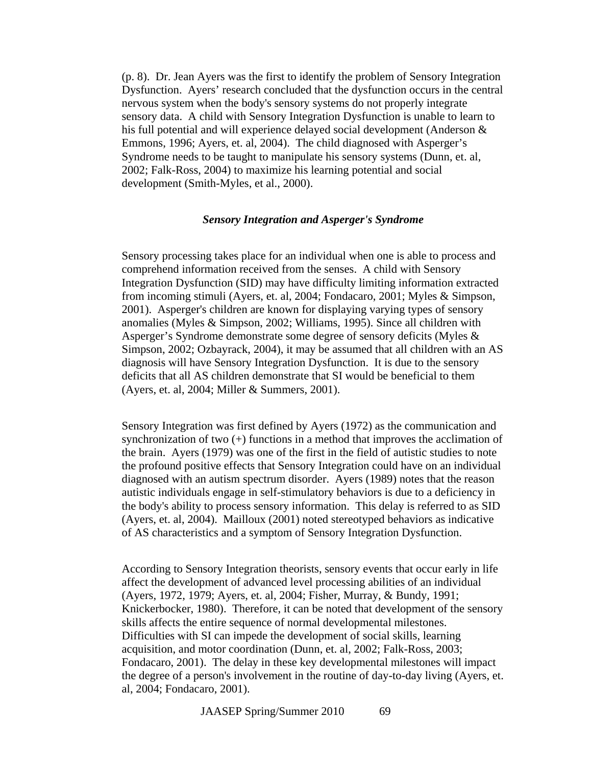(p. 8). Dr. Jean Ayers was the first to identify the problem of Sensory Integration Dysfunction. Ayers' research concluded that the dysfunction occurs in the central nervous system when the body's sensory systems do not properly integrate sensory data. A child with Sensory Integration Dysfunction is unable to learn to his full potential and will experience delayed social development (Anderson & Emmons, 1996; Ayers, et. al, 2004). The child diagnosed with Asperger's Syndrome needs to be taught to manipulate his sensory systems (Dunn, et. al, 2002; Falk-Ross, 2004) to maximize his learning potential and social development (Smith-Myles, et al., 2000).

## *Sensory Integration and Asperger's Syndrome*

Sensory processing takes place for an individual when one is able to process and comprehend information received from the senses. A child with Sensory Integration Dysfunction (SID) may have difficulty limiting information extracted from incoming stimuli (Ayers, et. al, 2004; Fondacaro, 2001; Myles & Simpson, 2001). Asperger's children are known for displaying varying types of sensory anomalies (Myles & Simpson, 2002; Williams, 1995). Since all children with Asperger's Syndrome demonstrate some degree of sensory deficits (Myles & Simpson, 2002; Ozbayrack, 2004), it may be assumed that all children with an AS diagnosis will have Sensory Integration Dysfunction. It is due to the sensory deficits that all AS children demonstrate that SI would be beneficial to them (Ayers, et. al, 2004; Miller & Summers, 2001).

Sensory Integration was first defined by Ayers (1972) as the communication and synchronization of two (+) functions in a method that improves the acclimation of the brain. Ayers (1979) was one of the first in the field of autistic studies to note the profound positive effects that Sensory Integration could have on an individual diagnosed with an autism spectrum disorder. Ayers (1989) notes that the reason autistic individuals engage in self-stimulatory behaviors is due to a deficiency in the body's ability to process sensory information. This delay is referred to as SID (Ayers, et. al, 2004). Mailloux (2001) noted stereotyped behaviors as indicative of AS characteristics and a symptom of Sensory Integration Dysfunction.

According to Sensory Integration theorists, sensory events that occur early in life affect the development of advanced level processing abilities of an individual (Ayers, 1972, 1979; Ayers, et. al, 2004; Fisher, Murray, & Bundy, 1991; Knickerbocker, 1980). Therefore, it can be noted that development of the sensory skills affects the entire sequence of normal developmental milestones. Difficulties with SI can impede the development of social skills, learning acquisition, and motor coordination (Dunn, et. al, 2002; Falk-Ross, 2003; Fondacaro, 2001). The delay in these key developmental milestones will impact the degree of a person's involvement in the routine of day-to-day living (Ayers, et. al, 2004; Fondacaro, 2001).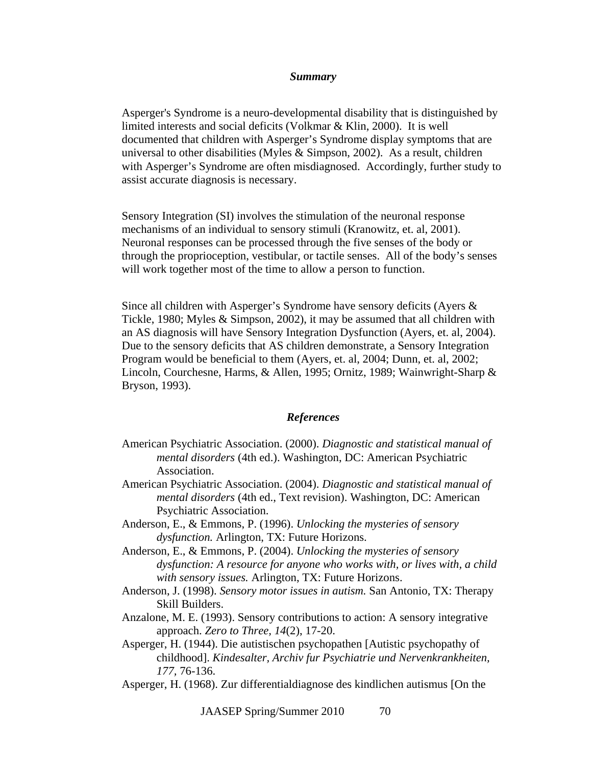#### *Summary*

Asperger's Syndrome is a neuro-developmental disability that is distinguished by limited interests and social deficits (Volkmar & Klin, 2000). It is well documented that children with Asperger's Syndrome display symptoms that are universal to other disabilities (Myles & Simpson, 2002). As a result, children with Asperger's Syndrome are often misdiagnosed. Accordingly, further study to assist accurate diagnosis is necessary.

Sensory Integration (SI) involves the stimulation of the neuronal response mechanisms of an individual to sensory stimuli (Kranowitz, et. al, 2001). Neuronal responses can be processed through the five senses of the body or through the proprioception, vestibular, or tactile senses. All of the body's senses will work together most of the time to allow a person to function.

Since all children with Asperger's Syndrome have sensory deficits (Ayers & Tickle, 1980; Myles & Simpson, 2002), it may be assumed that all children with an AS diagnosis will have Sensory Integration Dysfunction (Ayers, et. al, 2004). Due to the sensory deficits that AS children demonstrate, a Sensory Integration Program would be beneficial to them (Ayers, et. al, 2004; Dunn, et. al, 2002; Lincoln, Courchesne, Harms, & Allen, 1995; Ornitz, 1989; Wainwright-Sharp & Bryson, 1993).

#### *References*

- American Psychiatric Association. (2000). *Diagnostic and statistical manual of mental disorders* (4th ed.). Washington, DC: American Psychiatric Association.
- American Psychiatric Association. (2004). *Diagnostic and statistical manual of mental disorders* (4th ed., Text revision). Washington, DC: American Psychiatric Association.
- Anderson, E., & Emmons, P. (1996). *Unlocking the mysteries of sensory dysfunction.* Arlington, TX: Future Horizons.
- Anderson, E., & Emmons, P. (2004). *Unlocking the mysteries of sensory dysfunction: A resource for anyone who works with, or lives with, a child with sensory issues.* Arlington, TX: Future Horizons.
- Anderson, J. (1998). *Sensory motor issues in autism.* San Antonio, TX: Therapy Skill Builders.
- Anzalone, M. E. (1993). Sensory contributions to action: A sensory integrative approach. *Zero to Three, 14*(2), 17-20.
- Asperger, H. (1944). Die autistischen psychopathen [Autistic psychopathy of childhood]. *Kindesalter, Archiv fur Psychiatrie und Nervenkrankheiten, 177,* 76-136.
- Asperger, H. (1968). Zur differentialdiagnose des kindlichen autismus [On the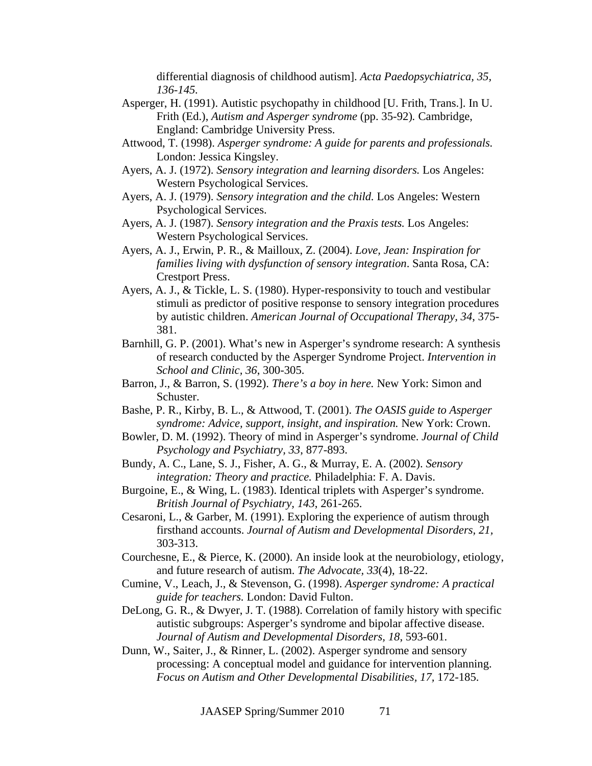differential diagnosis of childhood autism]. *Acta Paedopsychiatrica, 35, 136-145.* 

- Asperger, H. (1991). Autistic psychopathy in childhood [U. Frith, Trans.]. In U. Frith (Ed.), *Autism and Asperger syndrome* (pp. 35-92)*.* Cambridge, England: Cambridge University Press.
- Attwood, T. (1998). *Asperger syndrome: A guide for parents and professionals.*  London: Jessica Kingsley.
- Ayers, A. J. (1972). *Sensory integration and learning disorders.* Los Angeles: Western Psychological Services.
- Ayers, A. J. (1979). *Sensory integration and the child.* Los Angeles: Western Psychological Services.
- Ayers, A. J. (1987). *Sensory integration and the Praxis tests.* Los Angeles: Western Psychological Services.
- Ayers, A. J., Erwin, P. R., & Mailloux, Z. (2004). *Love, Jean: Inspiration for families living with dysfunction of sensory integration*. Santa Rosa, CA: Crestport Press.
- Ayers, A. J., & Tickle, L. S. (1980). Hyper-responsivity to touch and vestibular stimuli as predictor of positive response to sensory integration procedures by autistic children. *American Journal of Occupational Therapy, 34*, 375- 381.
- Barnhill, G. P. (2001). What's new in Asperger's syndrome research: A synthesis of research conducted by the Asperger Syndrome Project. *Intervention in School and Clinic, 36*, 300-305.
- Barron, J., & Barron, S. (1992). *There's a boy in here.* New York: Simon and Schuster.
- Bashe, P. R., Kirby, B. L., & Attwood, T. (2001). *The OASIS guide to Asperger syndrome: Advice, support, insight, and inspiration.* New York: Crown.
- Bowler, D. M. (1992). Theory of mind in Asperger's syndrome. *Journal of Child Psychology and Psychiatry, 33*, 877-893.
- Bundy, A. C., Lane, S. J., Fisher, A. G., & Murray, E. A. (2002). *Sensory integration: Theory and practice.* Philadelphia: F. A. Davis.
- Burgoine, E., & Wing, L. (1983). Identical triplets with Asperger's syndrome. *British Journal of Psychiatry, 143*, 261-265.
- Cesaroni, L., & Garber, M. (1991). Exploring the experience of autism through firsthand accounts. *Journal of Autism and Developmental Disorders, 21,*  303-313.
- Courchesne, E., & Pierce, K. (2000). An inside look at the neurobiology, etiology, and future research of autism. *The Advocate, 33*(4), 18-22.
- Cumine, V., Leach, J., & Stevenson, G. (1998). *Asperger syndrome: A practical guide for teachers.* London: David Fulton.
- DeLong, G. R., & Dwyer, J. T. (1988). Correlation of family history with specific autistic subgroups: Asperger's syndrome and bipolar affective disease. *Journal of Autism and Developmental Disorders, 18*, 593-601.
- Dunn, W., Saiter, J., & Rinner, L. (2002). Asperger syndrome and sensory processing: A conceptual model and guidance for intervention planning. *Focus on Autism and Other Developmental Disabilities, 17,* 172-185.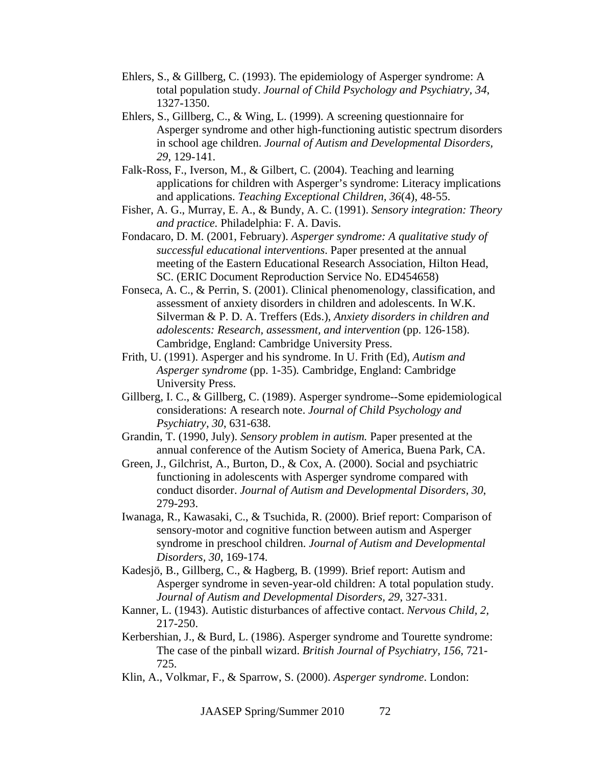- Ehlers, S., & Gillberg, C. (1993). The epidemiology of Asperger syndrome: A total population study. *Journal of Child Psychology and Psychiatry, 34*, 1327-1350.
- Ehlers, S., Gillberg, C., & Wing, L. (1999). A screening questionnaire for Asperger syndrome and other high-functioning autistic spectrum disorders in school age children. *Journal of Autism and Developmental Disorders, 29*, 129-141.
- Falk-Ross, F., Iverson, M., & Gilbert, C. (2004). Teaching and learning applications for children with Asperger's syndrome: Literacy implications and applications. *Teaching Exceptional Children, 36*(4), 48-55.
- Fisher, A. G., Murray, E. A., & Bundy, A. C. (1991). *Sensory integration: Theory and practice.* Philadelphia: F. A. Davis.
- Fondacaro, D. M. (2001, February). *Asperger syndrome: A qualitative study of successful educational interventions*. Paper presented at the annual meeting of the Eastern Educational Research Association, Hilton Head, SC. (ERIC Document Reproduction Service No. ED454658)
- Fonseca, A. C., & Perrin, S. (2001). Clinical phenomenology, classification, and assessment of anxiety disorders in children and adolescents. In W.K. Silverman & P. D. A. Treffers (Eds.), *Anxiety disorders in children and adolescents: Research, assessment, and intervention* (pp. 126-158). Cambridge, England: Cambridge University Press.
- Frith, U. (1991). Asperger and his syndrome. In U. Frith (Ed), *Autism and Asperger syndrome* (pp. 1-35)*.* Cambridge, England: Cambridge University Press.
- Gillberg, I. C., & Gillberg, C. (1989). Asperger syndrome--Some epidemiological considerations: A research note. *Journal of Child Psychology and Psychiatry, 30*, 631-638.
- Grandin, T. (1990, July). *Sensory problem in autism.* Paper presented at the annual conference of the Autism Society of America, Buena Park, CA.
- Green, J., Gilchrist, A., Burton, D., & Cox, A. (2000). Social and psychiatric functioning in adolescents with Asperger syndrome compared with conduct disorder. *Journal of Autism and Developmental Disorders, 30*, 279-293.
- Iwanaga, R., Kawasaki, C., & Tsuchida, R. (2000). Brief report: Comparison of sensory-motor and cognitive function between autism and Asperger syndrome in preschool children. *Journal of Autism and Developmental Disorders, 30*, 169-174.
- Kadesjö, B., Gillberg, C., & Hagberg, B. (1999). Brief report: Autism and Asperger syndrome in seven-year-old children: A total population study. *Journal of Autism and Developmental Disorders, 29*, 327-331.
- Kanner, L. (1943). Autistic disturbances of affective contact. *Nervous Child, 2,* 217-250.
- Kerbershian, J., & Burd, L. (1986). Asperger syndrome and Tourette syndrome: The case of the pinball wizard. *British Journal of Psychiatry, 156*, 721- 725.
- Klin, A., Volkmar, F., & Sparrow, S. (2000). *Asperger syndrome*. London: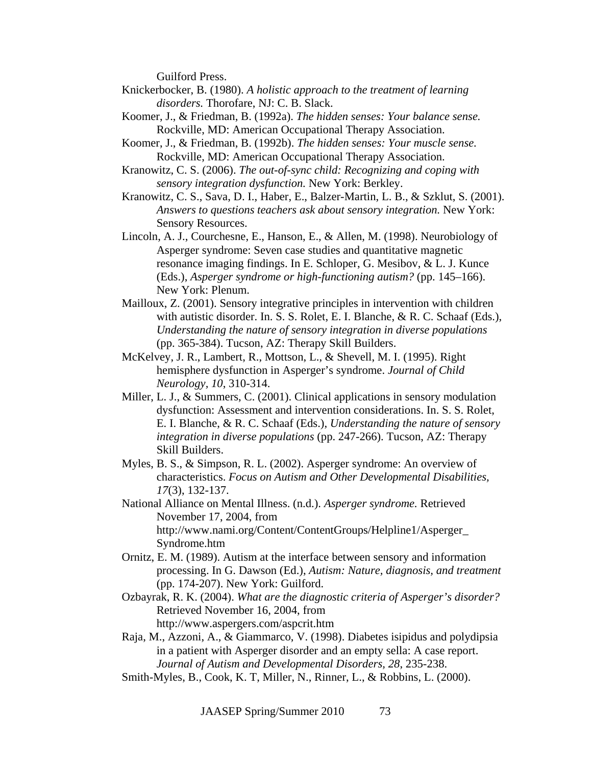Guilford Press.

- Knickerbocker, B. (1980). *A holistic approach to the treatment of learning disorders.* Thorofare, NJ: C. B. Slack.
- Koomer, J., & Friedman, B. (1992a). *The hidden senses: Your balance sense.*  Rockville, MD: American Occupational Therapy Association.
- Koomer, J., & Friedman, B. (1992b). *The hidden senses: Your muscle sense.*  Rockville, MD: American Occupational Therapy Association.
- Kranowitz, C. S. (2006). *The out-of-sync child: Recognizing and coping with sensory integration dysfunction.* New York: Berkley.
- Kranowitz, C. S., Sava, D. I., Haber, E., Balzer-Martin, L. B., & Szklut, S. (2001). *Answers to questions teachers ask about sensory integration.* New York: Sensory Resources.
- Lincoln, A. J., Courchesne, E., Hanson, E., & Allen, M. (1998). Neurobiology of Asperger syndrome: Seven case studies and quantitative magnetic resonance imaging findings. In E. Schloper, G. Mesibov, & L. J. Kunce (Eds.), *Asperger syndrome or high-functioning autism?* (pp. 145–166). New York: Plenum.
- Mailloux, Z. (2001). Sensory integrative principles in intervention with children with autistic disorder. In. S. S. Rolet, E. I. Blanche, & R. C. Schaaf (Eds.), *Understanding the nature of sensory integration in diverse populations* (pp. 365-384). Tucson, AZ: Therapy Skill Builders.
- McKelvey, J. R., Lambert, R., Mottson, L., & Shevell, M. I. (1995). Right hemisphere dysfunction in Asperger's syndrome. *Journal of Child Neurology, 10*, 310-314.
- Miller, L. J., & Summers, C. (2001). Clinical applications in sensory modulation dysfunction: Assessment and intervention considerations. In. S. S. Rolet, E. I. Blanche, & R. C. Schaaf (Eds.), *Understanding the nature of sensory integration in diverse populations* (pp. 247-266). Tucson, AZ: Therapy Skill Builders.
- Myles, B. S., & Simpson, R. L. (2002). Asperger syndrome: An overview of characteristics. *Focus on Autism and Other Developmental Disabilities, 17*(3), 132-137.
- National Alliance on Mental Illness. (n.d.). *Asperger syndrome.* Retrieved November 17, 2004, from http://www.nami.org/Content/ContentGroups/Helpline1/Asperger\_ Syndrome.htm
- Ornitz, E. M. (1989). Autism at the interface between sensory and information processing. In G. Dawson (Ed.), *Autism: Nature, diagnosis, and treatment* (pp. 174-207). New York: Guilford.
- Ozbayrak, R. K. (2004). *What are the diagnostic criteria of Asperger's disorder?* Retrieved November 16, 2004, from http://www.aspergers.com/aspcrit.htm
- Raja, M., Azzoni, A., & Giammarco, V. (1998). Diabetes isipidus and polydipsia in a patient with Asperger disorder and an empty sella: A case report. *Journal of Autism and Developmental Disorders, 28*, 235-238.
- Smith-Myles, B., Cook, K. T, Miller, N., Rinner, L., & Robbins, L. (2000).